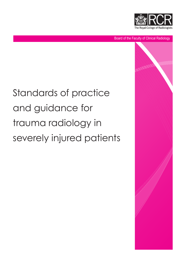

Board of the Faculty of Clinical Radiology

# Standards of practice and guidance for trauma radiology in severely injured patients

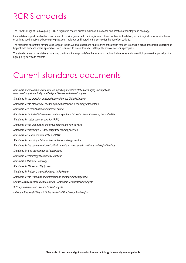## RCR Standards

The Royal College of Radiologists (RCR), a registered charity, exists to advance the science and practice of radiology and oncology.

It undertakes to produce standards documents to provide guidance to radiologists and others involved in the delivery of radiological services with the aim of defining good practice, advancing the practice of radiology and improving the service for the benefit of patients.

The standards documents cover a wide range of topics. All have undergone an extensive consultation process to ensure a broad consensus, underpinned by published evidence where applicable. Each is subject to review four years after publication or earlier if appropriate.

The standards are not regulations governing practice but attempt to define the aspects of radiological services and care which promote the provision of a high-quality service to patients.

## Current standards documents

*Standards and recommendations for the reporting and interpretation of imaging investigations by non-radiologist medically qualified practitioners and teleradiologists Standards for the provision of teleradiology within the United Kingdom Standards for the recording of second opinions or reviews in radiology departments Standards for a results acknowledgement system Standards for iodinated intravascular contrast agent administration to adult patients, Second edition Standards for radiofrequency ablation (RFA) Standards for the introduction of new procedures and new devices Standards for providing a 24-hour diagnostic radiology service Standards for patient confidentiality and PACS Standards for providing a 24-hour interventional radiology service Standards for the communication of critical, urgent and unexpected significant radiological findings Standards for Self-assessment of Performance Standards for Radiology Discrepancy Meetings Standards in Vascular Radiology Standards for Ultrasound Equipment Standards for Patient Consent Particular to Radiology Standards for the Reporting and Interpretation of Imaging Investigations Cancer Multidisciplinary Team Meetings – Standards for Clinical Radiologists 360° Appraisal – Good Practice for Radiologists*

*Individual Responsibilities – A Guide to Medical Practice for Radiologists*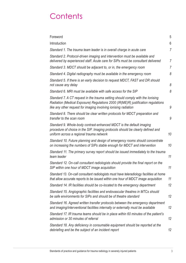## **Contents**

| Foreword                                                                                                                                                                                                                               | 5  |
|----------------------------------------------------------------------------------------------------------------------------------------------------------------------------------------------------------------------------------------|----|
| Introduction                                                                                                                                                                                                                           | 6  |
| Standard 1. The trauma team leader is in overall charge in acute care                                                                                                                                                                  | 7  |
| Standard 2. Protocol-driven imaging and intervention must be available and<br>delivered by experienced staff. Acute care for SIPs must be consultant delivered                                                                         | 7  |
| Standard 3. MDCT should be adjacent to, or in, the emergency room                                                                                                                                                                      | 7  |
| Standard 4. Digital radiography must be available in the emergency room                                                                                                                                                                | 8  |
| Standard 5. If there is an early decision to request MDCT, FAST and DR should<br>not cause any delay                                                                                                                                   | 8  |
| Standard 6. MRI must be available with safe access for the SIP                                                                                                                                                                         | 8  |
| Standard 7. A CT request in the trauma setting should comply with the lonising<br>Radiation (Medical Exposure) Regulations 2000 (IR(ME)R) justification regulations<br>like any other request for imaging involving ionising radiation | 9  |
| Standard 8. There should be clear written protocols for MDCT preparation and<br>transfer to the scan room                                                                                                                              | 9  |
| Standard 9. Whole-body contrast-enhanced MDCT is the default imaging<br>procedure of choice in the SIP. Imaging protocols should be clearly defined and<br>uniform across a regional trauma network                                    | 10 |
| Standard 10. Future planning and design of emergency rooms should concentrate<br>on increasing the numbers of SIPs stable enough for MDCT and intervention                                                                             | 10 |
| Standard 11. The primary survey report should be issued immediately to the trauma<br>team leader                                                                                                                                       | 11 |
| Standard 12. On-call consultant radiologists should provide the final report on the<br>SIP within one hour of MDCT image acquisition                                                                                                   | 11 |
| Standard 13. On-call consultant radiologists must have teleradiology facilities at home<br>that allow accurate reports to be issued within one hour of MDCT image acquisition                                                          | 11 |
| Standard 14. IR facilities should be co-located to the emergency department                                                                                                                                                            | 12 |
| Standard 15. Angiographic facilities and endovascular theatres in MTCs should<br>be safe environments for SIPs and should be of theatre standard                                                                                       | 12 |
| Standard 16. Agreed written transfer protocols between the emergency department<br>and imaging/interventional facilities internally or externally must be available                                                                    | 12 |
| Standard 17. IR trauma teams should be in place within 60 minutes of the patient's<br>admission or 30 minutes of referral                                                                                                              | 12 |
| Standard 18. Any deficiency in consumable equipment should be reported at the<br>debriefing and be the subject of an incident report                                                                                                   | 12 |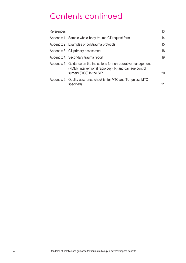## Contents continued

| References |                                                                                                                                                             | 13 |
|------------|-------------------------------------------------------------------------------------------------------------------------------------------------------------|----|
|            | Appendix 1. Sample whole-body trauma CT request form                                                                                                        | 14 |
|            | Appendix 2. Examples of polytrauma protocols                                                                                                                | 15 |
|            | Appendix 3. CT primary assessment                                                                                                                           | 18 |
|            | Appendix 4. Secondary trauma report                                                                                                                         | 19 |
|            | Appendix 5. Guidance on the indications for non-operative management<br>(NOM), interventional radiology (IR) and damage control<br>surgery (DCS) in the SIP | 20 |
|            | Appendix 6. Quality assurance checklist for MTC and TU (unless MTC<br>specified)                                                                            | 21 |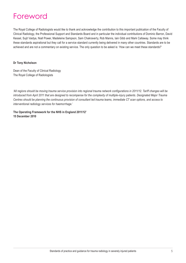## Foreword

The Royal College of Radiologists would like to thank and acknowledge the contribution to this important publication of the Faculty of Clinical Radiology, the Professional Support and Standards Board and in particular the individual contributions of Dominic Barron, David Kessel, Sujit Vaidya, Niall Power, Madeleine Sampson, Sam Chakraverty, Rob Manns, Iain Gibb and Mark Callaway. Some may think these standards aspirational but they call for a service standard currently being delivered in many other countries. Standards are to be achieved and are not a commentary on existing service. The only question to be asked is: 'How can we meet these standards?'

## **Dr Tony Nicholson**

Dean of the Faculty of Clinical Radiology The Royal College of Radiologists

*'All regions should be moving trauma service provision into regional trauma network configurations in 2011/12. Tariff changes will be introduced from April 2011 that are designed to recompense for the complexity of multiple-injury patients. Designated Major Trauma Centres should be planning the continuous provision of consultant led trauma teams, immediate CT scan options, and access to interventional radiology services for haemorrhage.'*

**The Operating Framework for the NHS in England 2011/121 15 December 2010**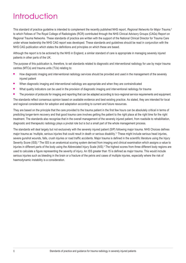## Introduction

This standard of practice guideline is intended to complement the recently published NHS report, *Regional Networks for Major Trauma*, 2 to which Fellows of The Royal College of Radiologists (RCR) contributed through the NHS Clinical Advisory Groups (CAGs) Report on Regional Trauma Networks. These standards of practice are written with the support of the National Clinical Director for Trauma Care under whose leadership the NHS CAG report was developed. These standards and guidelines should be read in conjunction with the NHS CAG publication which states the definitions and principles on which these are based.

Although the report is to be actioned by the NHS in England, a similar standard of care is appropriate in managing severely injured patients in other parts of the UK.

The purpose of this publication is, therefore, to set standards related to diagnostic and interventional radiology for use by major trauma centres (MTCs) and trauma units (TUs) relating to:

- How diagnostic imaging and interventional radiology services should be provided and used in the management of the severely injured patient
- **n** When diagnostic imaging and interventional radiology are appropriate and when they are contraindicated
- **n** What quality indicators can be used in the provision of diagnostic imaging and interventional radiology for trauma
- The provision of protocols for imaging and reporting that can be adapted according to loco-regional service requirements and equipment.

The standards reflect consensus opinion based on available evidence and best existing practice. As stated, they are intended for local and regional consideration for adoption and adaptation according to current and future resources.

They are based on the principle that the care provided to the trauma patient in the first few hours can be absolutely critical in terms of predicting longer-term recovery and that good trauma care involves getting the patient to the right place at the right time for the right treatment. The standards also recognise that in the overall management of the severely injured patient, from roadside to rehabilitation, diagnostic and therapeutic radiology plays a pivotal role but is but a small part of the whole management process.

The standards will deal largely but not exclusively with the severely injured patient (SIP) following major trauma. NHS Choices defines major trauma as 'multiple, serious injuries that could result in death or serious disability'.<sup>3</sup> These might include serious head injuries, severe gunshot wounds, falls, crush injuries or road traffic accidents. Major trauma is defined in the scientific literature using the Injury Severity Score (ISS).<sup>4</sup> The ISS is an anatomical scoring system derived from imaging and clinical examination which assigns a value to injuries in different parts of the body using the Abbreviated Injury Scale (AIS).<sup>5</sup> The highest scores from three different body regions are used to calculate a figure representing the severity of injury. An ISS greater than 15 is defined as major trauma. This would include serious injuries such as bleeding in the brain or a fracture of the pelvis and cases of multiple injuries, especially where the risk of haemodynamic instability is a consideration.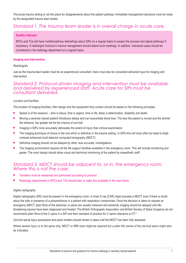The acute trauma setting is not the place for disagreements about the patient pathway. Immediate management decisions must be made by the designated trauma team leader.

## *Standard 1. The trauma team leader is in overall charge in acute care.*

## **Quality indicator**

MTCs and TUs will have multidisciplinary debriefings about SIPs on a regular basis to assess the process and adjust pathways if necessary. A radiologist involved in trauma management should attend such meetings. In addition, individual cases should be considered in the radiology department on a regular basis.

## **Imaging and intervention**

## *Radiologists*

Just as the trauma team leader must be an experienced consultant, there must also be consultant-delivered input for imaging and intervention.

## *Standard 2. Protocol-driven imaging and intervention must be available and delivered by experienced staff. Acute care for SIPs must be consultant delivered.*

## *Location and facilities*

The location of imaging facilities, their design and the equipment they contain should be based on the following principles.

- Speed is of the essence time is tissue, time is organs, time is life; delay is deterioration, disability and death.
- **n** Moving a severely injured patient introduces delays and can exacerbate blood loss. The less the patient is moved and the shorter the distance, the greater will be the chance of survival.
- **n** Imaging in SIPs more accurately delineates the extent of injury than clinical examination.
- The imaging technique of choice is the one which is definitive in the trauma setting. In SIPs this will most often be head-to-thigh contrast-enhanced multi-detector computed tomography (MDCT).
- $\blacksquare$  Definitive imaging should not be delayed by other, less accurate, investigations.
- **n** The imaging environment requires all the life support facilities available in the emergency room. This will include monitoring and gases. The room design should allow visual and technical monitoring of the patient by anaesthetic staff.

## *Standard 3. MDCT should be adjacent to, or in, the emergency room. Where this is not the case:*

- Transfers must be rehearsed and performed according to protocol
- Radiology departments in MTCs and TUs should plan to make this available in the near future.

## *Digital radiography*

Digital radiography (DR) must be present in the emergency room. A chest X-ray (CXR) might precede a MDCT scan if there is doubt about the side or presence of a pneumothorax in a patient with respiratory compromise. Once the decision is taken to request an emergency MDCT, plain films of the abdomen or pelvis are usually irrelevant and extremity imaging should be delayed until lifethreatening injuries have been diagnosed and treated. The British Orthopaedic Association and British Society of Spine Surgeons do not recommend plain films of the C-spine in a SIP and their standard of practice for C-spine clearance is CT.6

Cervical spinal injury precautions and pelvic binders should remain in place until the MDCT has been fully assessed.

Where severe injury is to the spine only, MDCT or MRI scan might be required but a plain film series of the cervical spine might also be indicated.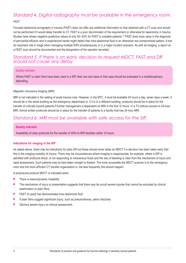## *Standard 4. Digital radiography must be available in the emergency room.*

## *FAST*

Focused abdominal sonography in trauma (FAST) does not offer any additional information to that obtained with a CT scan and should not be performed if it would delay transfer to CT. FAST is a poor discriminator of the requirement or otherwise for laparotomy in trauma. Studies have shown negative predictive values of only 50–63% for FAST in unstable patients.<sup>7,8</sup> FAST does have value in the diagnosis of pericardial effusion and in experienced hands might detect free intra-abdominal fluid in an otherwise non-compromised patient. It has an important role in triage when managing multiple SIPs simultaneously or in a major incident scenario. As with all imaging, a report on a FAST scan should be documented and the designation of the operator recorded.

## *Standard 5. If there is an early decision to request MDCT, FAST and DR should not cause any delay.*

#### *Quality indicator*

Where FAST or plain films have been used in a SIP, their use and value in that case should be evaluated in a multidisciplinary debriefing.

#### *Magnetic resonance imaging (MRI)*

MRI is not indicated in the setting of acute trauma care. However, in the MTC, it must be available 24 hours a day, seven days a week. It should be in the same building as the emergency department or, if it is in a different building, protocols should be in place for the transfer of critically injured patients if further management is dependent on MRI in the first 12 hours. In a TU without access to 24-hour MRI, formal written protocols should be in place for the transfer of patients to a facility that has 24-hour MRI.

## *Standard 6. MRI must be available with safe access for the SIP.*

#### **Quality indicator**

Availability of clear protocols for the transfer of SIPs to MRI facilities within 12 hours.

#### **Indications for imaging in the SIP**

As stated above, there may be indications for plain DR but these should never delay an MDCT if a decision has been taken early that this is the imaging modality of choice. There may be circumstances where imaging is inappropriate; for example, where a SIP is admitted with profound shock, is not responding to intravenous fluids and the site of bleeding is clear from the mechanism of injury and rapid assessment. Such patients may be best taken straight to theatre. The more accessible the MDCT scanner is to the emergency room and the more efficient CT transfer organisation is, the less frequently this should happen.

A polytrauma protocol MDCT is indicated when:

- $\blacksquare$  There is haemodynamic instability
- **n** The mechanism of injury or presentation suggests that there may be occult severe injuries that cannot be excluded by clinical examination or plain films
- FAST (if used) has demonstrated intra-abdominal fluid
- If plain films suggest significant injury, such as pneumothorax, pelvic fractures
- Obvious severe injury on clinical assessment.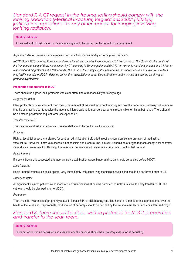*Standard 7. A CT request in the trauma setting should comply with the Ionising Radiation (Medical Exposure) Regulations 20009 (IR(ME)R) justification regulations like any other request for imaging involving ionising radiation.*

## **Quality indicator**

An annual audit of justification in trauma imaging should be carried out by the radiology department.

*Appendix 1 demonstrates a sample request card which trusts can modify according to local needs.*

*NOTE: Some MTCs in other European and North American countries have adopted a 'CT first' protocol. The UK awaits the results of the Randomized study of Early Assessment by CT scanning in Trauma patients (REACT) trial currently recruiting patients to a CT-first or*  resuscitation-first protocol in the Netherlands. The result of that study might supersede the indications above and major trauma itself *may justify immediate MDCT*10 *delaying only in the resuscitation area for time-critical interventions such as securing an airway or profound hypotension.* 

## **Preparation and transfer to MDCT**

There should be agreed local protocols with clear attribution of responsibility for every stage.

#### *Request for MDCT*

Clear protocols must exist for notifying the CT department of the need for urgent imaging and how the department will respond to ensure that the scanner is clear to receive the incoming injured patient. It must be clear who is responsible for this at both ends. There should be a detailed polytrauma request form (see Appendix 1).

#### *Transfer route to CT*

This must be established in advance. Transfer staff should be notified well in advance.

#### *IV access*

Right antecubital access is preferred for contrast administration (left-sided injections compromise interpretation of mediastinal vasculature). However, if arm vein access is not possible and a central line is in situ, it should be of a type that can accept 4 ml contrast/ second via a power injector. This might require local negotiation with emergency department doctors beforehand.

#### *Pelvic fracture*

If a pelvic fracture is suspected, a temporary pelvic stabilisation (wrap, binder and so on) should be applied before MDCT.

#### *Limb fractures*

Rapid immobilisation such as air splints. Only immediately limb conserving manipulations/splinting should be performed prior to CT.

#### *Urinary catheter*

All significantly injured patients without obvious contraindications should be catheterised unless this would delay transfer to CT. The catheter should be clamped prior to MDCT.

#### *Pregnancy*

There must be awareness of pregnancy status in female SIPs of childbearing age. The health of the mother takes precedence over the health of the fetus and, if appropriate, modification of pathways should be decided by the trauma team leader and consultant radiologist.

## *Standard 8. There should be clear written protocols for MDCT preparation and transfer to the scan room.*

#### **Quality indicator**

Such protocols should be written and available and the process should be a statutory evaluation at debriefing.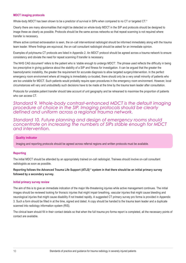## **MDCT imaging protocols**

Whole-body MDCT has been shown to be a predictor of survival in SIPs when compared to no CT or targeted CT.<sup>11</sup>

Clearly there are many abnormalities that might be detected on whole-body MDCT in the SIP and protocols should be designed to image these as clearly as possible. Protocols should be the same across networks so that repeat scanning is not required where transfer is necessary.

Where active contrast extravasation is seen, the on-call interventional radiologist should be informed immediately along with the trauma team leader. Where findings are equivocal, the on-call consultant radiologist should be asked for an immediate opinion.

Examples of polytrauma CT protocols are listed in Appendix 2. An MDCT protocol should be agreed across a trauma network to ensure consistency and obviate the need for repeat scanning if transfer is necessary.

The NHS CAG document<sup>2</sup> refers to the patient who is 'stable enough to undergo MDCT'. The phrase used reflects the difficulty in being too prescriptive in giving guidance about the stability of a SIP and fitness for investigation. It can be argued that the greater the haemodynamic instability, the greater the requirement for accurate diagnosis to allow targeted surgery/intervention. In the perfect emergency room environment where all imaging is immediately co-located, there should only be a very small minority of patients who are too unstable for MDCT. Such patients would probably require open procedures in the emergency room environment. However, local circumstances will vary and undoubtedly such decisions have to be made at the time by the trauma team leader after consultation.

Protocols for unstable patient transfer should take account of unit geography and be rehearsed to maximise the proportion of patients who can access CT.

*Standard 9. Whole-body contrast-enhanced MDCT is the default imaging procedure of choice in the SIP. Imaging protocols should be clearly defined and uniform across a regional trauma network.* 

*Standard 10. Future planning and design of emergency rooms should concentrate on increasing the numbers of SIPs stable enough for MDCT and intervention.*

## **Quality indicator**

Imaging and reporting protocols should be agreed across referral regions and written protocols must be available.

## **Reporting**

The initial MDCT should be attended by an appropriately trained on-call radiologist. Trainees should involve on-call consultant radiologists as soon as possible.

## **Reporting follows the Advanced Trauma Life Support (ATLS)**12 **system in that there should be an initial primary survey followed by a secondary survey.**

#### **Initial primary survey review**

The aim of this is to give an immediate indication of the major life-threatening injuries while active management continues. The initial images should be reviewed looking for thoracic injuries that might impair breathing, vascular injuries that might cause bleeding and neurological injuries that might cause disability if not treated rapidly. A suggested CT primary survey pro forma is provided in Appendix 3. Such a form should be filled in at the time, signed and dated. A copy should be handed to the trauma team leader and a duplicate scanned into radiology information system (RIS).

The clinical team should fill in their contact details so that when the full trauma pro forma report is completed, all the necessary points of contact are available.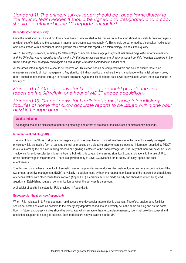## *Standard 11. The primary survey report should be issued immediately to the trauma team leader. It should be signed and designated and a copy should be retained in the CT department (or RIS).*

## **Secondary/definitive survey**

Once the initial scan results and pro forma have been communicated to the trauma team, the scan should be carefully reviewed against a written set of criteria and the secondary trauma report completed (Appendix 4). This should be performed by a consultant radiologist or in consultation with a consultant radiologist who may provide this report via a teleradiology link of suitable quality.<sup>13</sup>

*NOTE: Radiologists working remotely for teleradiology companies have imaging equipment that allows diagnostic reports in real time*  and the UK military have reporting facilities in the UK that allows accurate reporting of trauma scans from field hospitals anywhere in the *world, although they do deploy radiologists on site to cope with rapid fluctuations in patient care.*

All the areas listed in Appendix 4 should be reported on. This report should be completed within one hour to ensure there is no unnecessary delay to clinical management. Any significant findings particularly where there is a variance to the initial primary survey report should be telephoned through to relevant clinicians. Again, the list of contact details will be invaluable where there is a change in findings.14

## *Standard 12. On-call consultant radiologists should provide the final report on the SIP within one hour of MDCT image acquisition.*

*Standard 13. On-call consultant radiologists must have teleradiology*  facilities at home that allow accurate reports to be issued within one hour *of MDCT image acquisition.*

## **Quality indicator**

All imaging should be discussed at debriefing meetings and errors of protocol or fact discussed at discrepancy meetings.<sup>15</sup>

## **Interventional radiology (IR)**

The role of IR in the SIP is to stop haemorrhage as quickly as possible with minimal interference to the patient's already damaged physiology. It is as much a form of damage control as pressing on a bleeding artery or surgical packing. Information supplied by MDCT is key to informing the decision-making process and guiding a catheter to the haemorrhage site. It is likely that there will never be Level 1 evidence for endovascular techniques in trauma but, with this caveat, there are no significant contraindications to the use of IR to arrest haemorrhage in major trauma. There is a growing body of Level 2/3 evidence for its safety, efficacy, speed and costeffectiveness.

The decision on whether a patient with traumatic haemorrhage undergoes endovascular treatment, open surgery, a combination of the two or non-operative management (NOM) is typically a decision made by both the trauma team leader and the interventional radiologist after consultation with other consultants involved (Appendix 5). Decisions must be made quickly and should be driven by agreed algorithms. Establishing routes of communication between the services is paramount.

A checklist of quality indicators for IR is provided in Appendix 6.

#### **Endovascular theatres (see Appendix 6)**

When IR is indicated in SIP management, rapid access to endovascular intervention is essential. Therefore, angiography facilities should be located as close as possible to the emergency department and should certainly be in the same building and on the same floor. In future, angiography suites should be co-located within an acute theatre complex/emergency room that provides surgical and anaesthetic support to acutely ill patients. Such facilities are not yet available in the UK.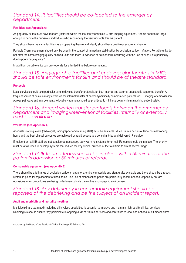## *Standard 14. IR facilities should be co-located to the emergency department.*

## **Facilities (see Appendix 6)**

Angiography suites must have modern (installed within the last ten years) fixed C-arm imaging equipment. Rooms need to be large enough to handle the numerous individuals who accompany the very unstable trauma patient.

They should have the same facilities as an operating theatre and ideally should have positive pressure air change.

Portable C-arm equipment should only be used in the context of immediate stabilisation by occlusion balloon inflation. Portable units do not offer the same imaging quality as fixed units and there is evidence of patient harm occurring with the use of such units principally due to poor image quality.16

In addition, portable units can only operate for a limited time before overheating.

## *Standard 15. Angiographic facilities and endovascular theatres in MTCs should be safe environments for SIPs and should be of theatre standard.*

## **Protocols**

Local services should take particular care to develop transfer protocols, for both internal and external anaesthetic supported transfer. A frequent source of delay in many centres is the internal transfer of haemodynamically compromised patients for CT imaging or embolisation. Agreed pathways and improvements to local environment should be prioritised to minimise delay while maintaining patient safety.

## *Standard 16. Agreed written transfer protocols between the emergency department and imaging/interventional facilities internally or externally must be available.*

## **Workforce (see Appendix 6)**

Adequate staffing levels (radiologist, radiographer and nursing staff) must be available. Much trauma occurs outside normal working hours and the best clinical outcomes are achieved by rapid access to a consultant-led and delivered IR service.

If resident on-call IR staff are not considered necessary, early warning systems for on-call IR teams should be in place. The priority must be at all times to develop systems that reduce the key clinical criterion of the total time to arrest haemorrhage.

## *Standard 17. IR trauma teams should be in place within 60 minutes of the patient's admission or 30 minutes of referral.*

## **Consumable equipment (see Appendix 6)**

There should be a full range of occlusion balloons, catheters, embolic materials and stent grafts available and there should be a robust system in place for replacement of used items. The use of embolisation packs are particularly recommended, especially on rare occasions when procedures are being undertaken outside the routine angiographic environment.

## *Standard 18. Any deficiency in consumable equipment should be reported at the debriefing and be the subject of an incident report.*

## **Audit and morbidity and mortality meetings**

Multidisciplinary team audit including all involved specialties is essential to improve and maintain high-quality clinical services. Radiologists should ensure they participate in ongoing audit of trauma services and contribute to local and national audit mechanisms.

Approved by the Board of the Faculty of Clinical Radiology: 25 February 2011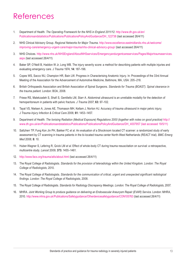## References

- 1. Department of Health. *The Operating Framework for the NHS in England 2011/12*. http://www.dh.gov.uk/en/ Publicationsandstatistics/Publications/PublicationsPolicyAndGuidance/DH\_122738 (last accessed 26/4/11)
- 2. NHS Clinical Advisory Group. *Regional Networks for Major Trauma*. http://www.excellence.eastmidlands.nhs.uk/welcome/ improving-care/emergency-urgent-care/major-trauma/nhs-clinical-advisory-group/ (last accessed 26/4/11)
- 3. NHS Choices. http://www.nhs.uk/NHSEngland/AboutNHSservices/Emergencyandurgentcareservices/Pages/Majortraumaservices. aspx (last accessed 26/4/11)
- 4. Baker SP, O'Neill B, Haddon W Jr, Long WB. The injury severity score: a method for describing patients with multiple injuries and evaluating emergency care. *J Trauma* 1974; **14:** 187–196.
- 5. Copes WS, Sacco WJ, Champion HR, Bain LW. Progress in Characterising Anatomic Injury. In: Proceedings of the 33rd Annual Meeting of the Association for the Advancement of Automotive Medicine, Baltimore, MA, USA: 205–218.
- 6. British Orthopaedic Association and British Association of Spinal Surgeons. *Standards for Trauma (BOAST). Spinal clearance in the trauma patient*. London: BOA, 2008.
- 7. Friese RS, Malekzadeh S, Shafi S, Gentilello LM, Starr A. Abdominal ultrasound is an unreliable modality for the detection of hemoperitoneum in patients with pelvic fracture. *J Trauma* 2007; **63:** 97–102.
- 8. Tayal VS, Nielsen A, Jones AE, Thomason MH, Kellam J, Norton HJ. Accuracy of trauma ultrasound in major pelvic injury. *J Trauma-Injury Infection & Critical Care* 2006; **61:** 1453–1457.
- 9. Department of Health. *The Ionising Radiation (Medical Exposure) Regulations 2000 (together with notes on good practice)* http:// www.dh.gov.uk/en/Publicationsandstatistics/Publications/PublicationsPolicyAndGuidance/DH\_4007957 (last accessed 19/5/11)
- 10. Saltzherr TP, Fung Kon Jin PH, Bakker FC *et al.* An evaluation of a Shockroom located CT scanner: a randomized study of early assessment by CT scanning in trauma patients in the bi-located trauma center North-West Netherlands (REACT trial). *BMC Emerg Med* 2008; **8:** 10.
- 11. Huber-Wagner S, Lefering R, Qvick LM *et al*. Effect of whole-body CT during trauma resuscitation on survival: a retrospective, multicentre study. *Lancet* 2009; **373:** 1455–1461.
- 12. http://www.facs.org/trauma/atls/about.html (last accessed 26/4/11)
- 13. The Royal College of Radiologists. *Standards for the provision of teleradiology within the United Kingdom. London: The Royal College of Radiologists*, 2010.
- 14. The Royal College of Radiologists. *Standards for the communication of critical, urgent and unexpected significant radiological findings. London: The Royal College of Radiologists*, 2008.
- 15. The Royal College of Radiologists. *Standards for Radiology Discrepancy Meetings. London: The Royal College of Radiologists*, 2007.
- 16. MHRA. *Joint Working Group to produce guidance on delivering an Endovascular Aneurysm Repair (EVAR) Service*. London: MHRA, 2010. http://www.mhra.gov.uk/Publications/Safetyguidance/Otherdevicesafetyguidance/CON105763 (last accessed 26/4/11)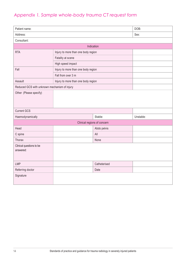## *Appendix 1. Sample whole-body trauma CT request form*

| Patient name:                                |                                     | DOB:         |           |
|----------------------------------------------|-------------------------------------|--------------|-----------|
| Address:                                     |                                     | Sex:         |           |
| Consultant:                                  |                                     |              |           |
|                                              | Indication                          |              |           |
| <b>RTA</b>                                   | Injury to more than one body region |              |           |
|                                              | Fatality at scene                   |              |           |
|                                              | High speed impact                   |              |           |
| Fall                                         | Injury to more than one body region |              |           |
|                                              | Fall from over 3 m                  |              |           |
| Assault                                      | Injury to more than one body region |              |           |
| Reduced GCS with unknown mechanism of injury |                                     |              |           |
| Other (Please specify)                       |                                     |              |           |
| <b>Current GCS</b>                           |                                     |              |           |
| Haemodynamically                             | Stable:                             |              | Unstable: |
|                                              | Clinical regions of concern         |              |           |
| Head                                         |                                     | Abdo pelvis  |           |
| C spine                                      |                                     | All          |           |
| Thorax                                       |                                     | None         |           |
| Clinical questions to be<br>answered:        |                                     |              |           |
| <b>LMP</b>                                   |                                     | Catheterised |           |
| Referring doctor                             |                                     | Date         |           |
| Signature                                    |                                     |              |           |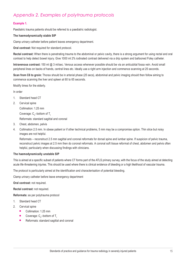## *Appendix 2. Examples of polytrauma protocols*

## **Example 1.**

Paediatric trauma patients should be referred to a paediatric radiologist.

## **The haemodynamically stable SIP**

Clamp urinary catheter before patient leaves emergency department.

**Oral contrast:** Not required for standard protocol.

**Rectal contrast:** When there is penetrating trauma to the abdominal or pelvic cavity, there is a strong argument for using rectal and oral contrast to help detect bowel injury. Give 1000 ml 2% iodinated contrast delivered via a drip system and ballooned Foley catheter.

**Intravenous contrast:** 150 ml @ 3 ml/sec. Venous access whenever possible should be via an anticubital fossa vein. Avoid small peripheral lines on backs of hands, central lines etc. Ideally use a right arm injection and commence scanning at 25 seconds.

**Scan from C6 to groin:** Thorax should be in arterial phase (25 secs), abdominal and pelvic imaging should then follow aiming to commence scanning the liver and spleen at 60 to 65 seconds.

Modify times for the elderly.

In order

- 1. Standard head CT
- 2. Cervical spine

Collimation: 1.25 mm Coverage: C<sub>0</sub>-bottom of T<sub>1</sub>

Reformats: standard sagittal and coronal

- 3. Chest, abdomen, pelvis
- 4. Collimation 2.5 mm. In obese patient or if other technical problems, 5 mm may be a compromise option. Thin slice but noisy images are not helpful.

Reformats – reconstruct 2.5 mm sagittal and coronal reformats for dorsal spine and lumbar spine. If suspicion of pelvic trauma, reconstruct pelvic images at 2.5 mm then do coronal reformats. A coronal soft tissue reformat of chest, abdomen and pelvis often helpful, particularly when discussing findings with clinicians.

#### **The haemodynamically unstable SIP**

This is aimed at a specific subset of patients where CT forms part of the ATLS primary survey, with the focus of the study aimed at detecting acute life-threatening injuries. This should be used where there is clinical evidence of bleeding or a high likelihood of vascular trauma.

The protocol is particularly aimed at the identification and characterisation of potential bleeding.

Clamp urinary catheter before leave emergency department

**Oral contrast:** not required.

**Rectal contrast:** not required.

**Reformats:** as per polytrauma protocol

- 1. Standard head CT
- 2. Cervical spine
	- Collimation: 1.25 mm
	- **n** Coverage:  $C_0$ –bottom of T<sub>1</sub>
	- $\blacksquare$  Reformats: standard sagittal and coronal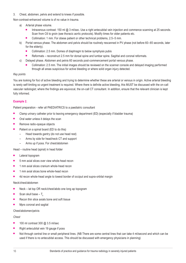## 3. Chest, abdomen, pelvis and extend to knees if possible.

Non-contrast-enhanced volume is of no value in trauma.

- a) Arterial phase volume.
	- Intravenous contrast: 150 ml @ 3 ml/sec. Use a right antecubital vein injection and commence scanning at 25 seconds. Scan from C6 to groin (see thoracic aortic protocols). Modify times for older patients etc.
	- Collimation: 1 mm. For obese patient or other technical problems, 2.5–5 mm.
- b) Portal venous phase. The abdomen and pelvis should be routinely rescanned in PV phase (not before 60–65 seconds, later for the elderly).
	- Collimation: 2.5 mm. Domes of diaphragm to below symphysis pubis
	- Reformats reconstruct 2.5 mm for dorsal spine and lumbar spine. Sagittal and coronal reformats.
- c) Delayed phase. Abdomen and pelvis 60 seconds post-commencement portal venous phase.
	- <sup>n</sup> Collimation: 2.5 mm. The initial images should be reviewed on the scanner console and delayed imaging performed through all areas suspicious for active bleeding or where solid organ injury detected.

## *Key points*

You are looking for foci of active bleeding and trying to determine whether these are arterial or venous in origin. Active arterial bleeding is rarely self-limiting so urgent treatment is required. Where there is definite active bleeding, this MUST be discussed with the on-call vascular radiologist; where the findings are equivocal, the on-call CT consultant. In addition, ensure that the relevant clinician is kept fully informed.

## **Example 2.**

Patient preparation - refer all PAEDIATRICS to a paediatric consultant

- Clamp urinary catheter prior to leaving emergency department (ED) (especially if bladder trauma)
- $\blacksquare$  Oral water unless it delays the scan
- **n** Remove radio-opaque objects
- $\blacksquare$  Patient on a spinal board (ED to do this)
	- Head towards gantry (do not use head rest)
	- Arms by side for head/neck CT and support
	- Arms up if poss. For chest/abdomen

Head – routine head (spiral) in head folder

- **n** Lateral topogram
- $\blacksquare$  5 mm axial slices over view whole-head recon
- 1 mm axial slices cranium whole-head recon
- $\blacksquare$  1 mm axial slices bone whole-head recon
- $\blacksquare$  4d recon whole-head angle to lowest border of occiput and supra-orbital margin

## Neck/chest/abdomen

- Neck lat top OR neck/chest/abdo one long ap topogram
- **n** Scan skull base  $-$  T.
- $\blacksquare$  Recon thin slice axials bone and soft tissue
- $\blacksquare$  Mprs coronal and sagital

#### Chest/abdomen/pelvis

## *Chest*

- $\blacksquare$  100 ml contrast 300 @ 3.5 ml/sec
- $\blacksquare$  Right antecubital vein 19 gauge if poss
- Not through central line or small peripheral lines. (NB There are some central lines that can take 4 ml/second and which can be used if there is no antecubital access. This should be discussed with emergency physicians in planning)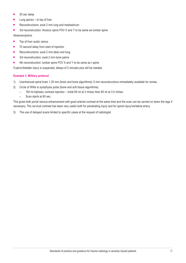- $\Box$  30 sec delay
- $\blacksquare$  Lung apices to top of liver
- Reconstructions: axial 2 mm lung and mediastinum
- 3rd reconstruction: thoracic spine FOV X and Y to be same as lumbar spine

*Abdomen/pelvis*

- $\blacksquare$  Top of liver–pubic ramus
- $\blacksquare$  70 second delay from start of injection
- $R$  Reconstructions: axial 2 mm abdo and lung
- $\blacksquare$  3rd reconstruction: axial 2 mm bone pelvis
- $\blacksquare$  4th reconstruction: lumbar spine FOV X and Y to be same as t spine

If pelvic/bladder injury is suspected, delays of 2 minutes plus will be needed.

## **Example 3. Military protocol**

- 1) Unenhanced spiral brain 1.25 mm (brain and bone algorithms); 5 mm reconstructions immediately available for review.
- 2) Circle of Willis to symphysis pubis (bone and soft tissue algorithms).
	- 150 ml biphasic contrast injection initial 65 ml at 2 ml/sec then 85 ml at 3.5 ml/sec
	- Scan starts at 60 sec.

This gives both portal venous enhancement with good arterial contrast at the same time and the scan can be carried on down the legs if necessary. The cervical contrast has been very useful both for penetrating injury and for spinal injury/vertebral artery.

3) The use of delayed scans limited to specific cases at the request of radiologist.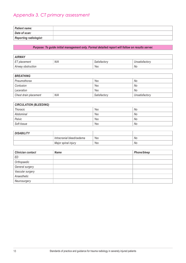## *Appendix 3. CT primary assessment*

| Patient name:                 |  |
|-------------------------------|--|
| Date of scan:                 |  |
| $\mid$ Reporting radiologist: |  |

## *Purpose: To guide initial management only. Formal detailed report will follow on results server.*

| <b>AIRWAY</b>      |     |              |                |
|--------------------|-----|--------------|----------------|
| ET<br>placement    | N/A | atisfactoryن | Unsatistactory |
| Airway obstruction |     | Yes          | No             |

| <b>BREATHING</b>      |     |              |                |
|-----------------------|-----|--------------|----------------|
| Pneumothorax          |     | Yes          | No             |
| Contusion             |     | Yes          | No             |
| Laceration            |     | Yes          | No             |
| Chest drain placement | N/A | Satisfactory | Unsatisfactory |

| <b>CIRCULATION (BLEEDING)</b> |     |    |  |
|-------------------------------|-----|----|--|
| Thoracic                      | Yes | No |  |
| Abdominal                     | Yes | No |  |
| Pelvic                        | Yes | No |  |
| Soft tissue                   | Yes | No |  |

| <b>DISABILITY</b> |                           |     |    |
|-------------------|---------------------------|-----|----|
|                   | Intracranial bleed/oedema | Yes | Νo |
|                   | Major spinal injury       | Yes | No |

| <b>Clinician contact</b> | <b>Name</b> | Phone/bleep |
|--------------------------|-------------|-------------|
| ED                       |             |             |
| Orthopaedic              |             |             |
| General surgery          |             |             |
| Vascular surgery         |             |             |
| Anaesthetic              |             |             |
| Neurosurgery             |             |             |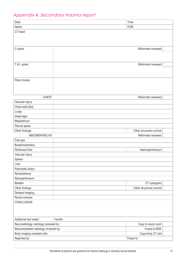## *Appendix 4. Secondary trauma report*

| Date:                                  |        | Time:                   |
|----------------------------------------|--------|-------------------------|
| Name:                                  | DOB:   |                         |
| CT head:                               |        |                         |
|                                        |        |                         |
|                                        |        |                         |
| C-spine:                               |        | Reformats reviewed      |
|                                        |        |                         |
|                                        |        |                         |
| T & L spine:                           |        | Reformats reviewed      |
|                                        |        |                         |
|                                        |        |                         |
| Pelvic bones:                          |        |                         |
|                                        |        |                         |
|                                        |        |                         |
| <b>CHEST</b>                           |        | Reformats reviewed      |
| Vascular injury                        |        |                         |
| Chest wall (ribs)                      |        |                         |
| Lungs                                  |        |                         |
| Diaphragm                              |        |                         |
| Mediastinum                            |        |                         |
| Pleural space                          |        |                         |
| Other findings                         |        | Other structures normal |
| ABDOMEN\PELVIS                         |        | Reformats reviewed      |
| Free gas                               |        |                         |
| Bowel/mesentery                        |        |                         |
| Peritoneal fluid                       |        | Haemoperitoneum         |
| Vascular injury                        |        |                         |
| Spleen                                 |        |                         |
| Liver                                  |        |                         |
| Pancreato-biliary                      |        |                         |
| Renal/adrenal                          |        |                         |
| Retroperitoneum                        |        |                         |
| Bladder                                |        | CT cystogram            |
| Other findings                         |        | Other structures normal |
| Delayed imaging                        |        |                         |
| Rectal contrast                        |        |                         |
| CONCLUSION:                            |        |                         |
|                                        |        |                         |
|                                        |        |                         |
| Additional text sheet:                 | Yes/No |                         |
| Neuroradiology radiology reviewed by:  |        | Copy to neuro room      |
| Musculoskeletal radiology reviewed by: |        | Faxed to MSK            |
| Body imaging reviewed with:            |        | Copy body CT slot       |
| Reported by:                           |        | Faxed to:               |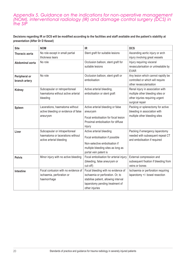## *Appendix 5. Guidance on the indications for non-operative management (NOM), interventional radiology (IR) and damage control surgery (DCS) in the SIP*

## **Decisions regarding IR or DCS will be modified according to the facilities and staff available and the patient's stability at presentation (After Dr D Kessel)**

| <b>Site</b>                    | <b>NOM</b>                                                                                     | <b>IR</b>                                                                                                                                                           | <b>DCS</b>                                                                                                                 |
|--------------------------------|------------------------------------------------------------------------------------------------|---------------------------------------------------------------------------------------------------------------------------------------------------------------------|----------------------------------------------------------------------------------------------------------------------------|
| <b>Thoracic aorta</b>          | No role except in small partial<br>thickness tears                                             | Stent graft for suitable lesions                                                                                                                                    | Ascending aortic injury or arch<br>injury involving great vessels                                                          |
| Abdominal aorta                | No role                                                                                        | Occlusion balloon, stent graft for<br>suitable lesions                                                                                                              | Injury requiring visceral<br>revascularisation or untreatable by<br><b>EVAR</b>                                            |
| Peripheral or<br>branch artery | No role                                                                                        | Occlusion balloon, stent graft or<br>embolisation                                                                                                                   | Any lesion which cannot rapidly be<br>controlled or which will require<br>other revascularisation                          |
| Kidney                         | Subcapsular or retroperitoneal<br>haematoma without active arterial<br>bleeding                | Active arterial bleeding,<br>embolisation or stent graft                                                                                                            | Renal injury in association with<br>multiple other bleeding sites or<br>other injuries requiring urgent<br>surgical repair |
| Spleen                         | Lacerations, haematoma without<br>active bleeding or evidence of false<br>aneurysm             | Active arterial bleeding or false<br>aneurysm<br>Focal embolisation for focal lesion<br>Proximal embolisation for diffuse<br>injury                                 | Packing or splenectomy for active<br>bleeding in association with<br>multiple other bleeding sites                         |
| Liver                          | Subcapsular or intraperitoneal<br>haematoma or lacerations without<br>active arterial bleeding | Active arterial bleeding<br>Focal embolisation if possible<br>Non-selective embolisation if<br>multiple bleeding sites as long as<br>portal vein patent is          | Packing if emergency laparotomy<br>needed with subsequent repeat CT<br>and embolisation if required                        |
| <b>Pelvis</b>                  | Minor injury with no active bleeding                                                           | Focal embolisation for arterial injury<br>(bleeding, false aneurysm or<br>cut-off)                                                                                  | External compression and<br>subsequent fixation if bleeding from<br>veins or bones                                         |
| <b>Intestine</b>               | Focal contusion with no evidence of<br>ischaemia, perforation or<br>haemorrhage                | Focal bleeding with no evidence of<br>ischaemia or perforation. Or, to<br>stabilise patient, allowing interval<br>laparotomy pending treatment of<br>other injuries | Ischaemia or perforation requiring<br>laparotomy +/- bowel resection                                                       |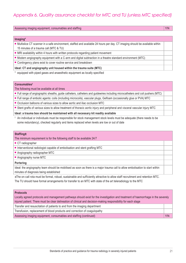## *Appendix 6. Quality assurance checklist for MTC and TU (unless MTC specified)*

## Assessing imaging equipment, consumables and staffing **Y/N** Assessing imaging equipment, consumables and staffing

## **Imaging\***

- Multislice CT scanner in a safe environment, staffed and available 24 hours per day. CT imaging should be available within 15 minutes of a trauma call (MTC & TU)
- $\blacksquare$  MRI availability within 4 hours with written protocols regarding patient movement
- <sup>n</sup> Modern angiography equipment with a C-arm and digital subtraction in a theatre standard environment (MTC)
- Contingency plans exist to cover routine service and breakdown

#### **Ideal: CT and angiography unit housed within the trauma suite (MTC)**

\* equipped with piped gases and anaesthetic equipment as locally specified

#### **Consumables†**

## The following must be available at all times

<sup>n</sup> Full range of angiographic sheaths, guide catheters, catheters and guidewires including microcatheters and coil pushers (MTC)

- <sup>n</sup> Full range of embolic agents: coils (including microcoils), vascular plugs, Gelfoam (occasionally glue or PVA) MTC
- Occlusion balloons of various sizes to allow aortic and iliac occlusion MTC
- <sup>n</sup> Stent grafts of various sizes to allow treatment of thoracic aortic injury and peripheral and visceral vascular injury MTC

## **Ideal: a trauma box should be maintained with all necessary kit readily available**

 $\dagger$  An individual or individuals must be responsible for stock management stock levels must be adequate (there needs to be some redundancy), checked regularly and items replaced when levels are low or out of date

#### **Staffing±**

#### The minimum requirement is for the following staff to be available 24/7

- CT radiographer
- Interventional radiologist capable of embolisation and stent grafting MTC
- Angiography radiographer MTC
- $\blacksquare$  Angiography nurse MTC

## **Portering**

Ideal: the angiography team should be mobilised as soon as there is a major trauma call to allow embolisation to start within minutes of diagnosis being established

±The on-call rota must be formal, robust, sustainable and sufficiently attractive to allow staff recruitment and retention MTC. The TU should have formal arrangements for transfer to an MTC with state of the art teleradiology to the MTC

### **Protocols**

Locally agreed protocols and management pathways should exist for the investigation and treatment of haemorrhage in the severely injured patient. There must be clear delineation of clinical and decision-making responsibility for each stage

Transfer and resuscitation of patients to and from the imaging department

Transfusion, replacement of blood products and correction of coagulopathy

Assessing imaging equipment, consumables and staffing (continued) Y/N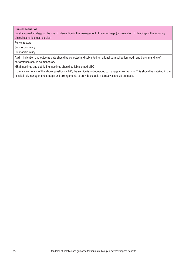## **Clinical scenarios**

Locally agreed strategy for the use of intervention in the management of haemorrhage (or prevention of bleeding) in the following clinical scenarios must be clear

Pelvic fracture

Solid organ injury

Blunt aortic injury

**Audit**: Indication and outcome data should be collected and submitted to national data collection. Audit and benchmarking of performance should be mandatory

M&M meetings and debriefing meetings should be job planned MTC

If the answer to any of the above questions is NO, the service is not equipped to manage major trauma. This should be detailed in the hospital risk management strategy and arrangements to provide suitable alternatives should be made.